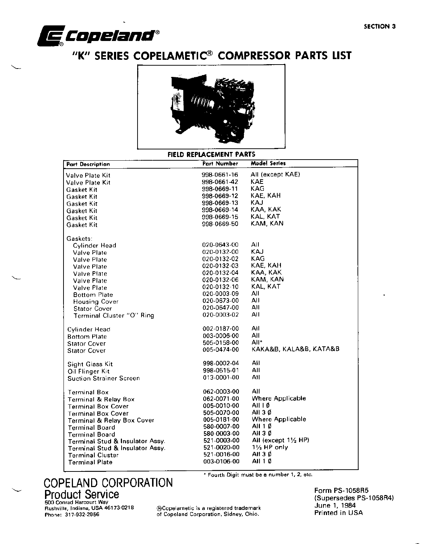

# "K" SERIES COPELAMETIC® COMPRESSOR PARTS LIST



#### FIELD REPLACEMENT PARTS

| <b>Part Description</b>         | Part Number | <b>Model Series</b>    |
|---------------------------------|-------------|------------------------|
| Valve Plate Kit                 | 998-0661-16 | All (except KAE)       |
| Valve Plate Kit                 | 998-0661-42 | KAE                    |
| Gasket Kit                      | 998-0669-11 | <b>KAG</b>             |
| Gasket Kit                      | 998-0669-12 | KAE, KAH               |
| Gasket Kit                      | 998-0669-13 | KAJ                    |
| Gasket Kit                      | 998-0669-14 | KAA, KAK               |
| <b>Gasket Kit</b>               | 998-0669-15 | KAL, KAT               |
| Gasket Kit                      | 998-0669-50 | KAM, KAN               |
|                                 |             |                        |
| Gaskets:                        |             |                        |
| Cylinder Head                   | 020-0643-00 | All                    |
| <b>Valve Plate</b>              | 020-0132-00 | <b>KAJ</b>             |
| <b>Valve Plate</b>              | 020-0132-02 | KAG                    |
| Valve Plate                     | 020-0132-03 | KAE, KAH               |
| <b>Valve Plate</b>              | 020-0132-04 | KAA, KAK               |
| Valve Plate                     | 020-0132-06 | KAM, KAN               |
| Valve Plate                     | 020-0132-10 | KAL, KAT               |
| <b>Bottom Plate</b>             | 020-0003-09 | All                    |
| <b>Housing Cover</b>            | 020-0673-00 | All                    |
| <b>Stator Cover</b>             | 020-0647-00 | All                    |
| Terminal Cluster "O" Ring       | 020-0003-02 | AII                    |
|                                 |             |                        |
| Cylinder Head                   | 002-0187-00 | Ail                    |
| <b>Bottom Plate</b>             | 003-0006-00 | All                    |
| <b>Stator Cover</b>             | 505-0158-00 | All*                   |
| <b>Stator Cover</b>             | 005-0474-00 | KAKA&B, KALA&B, KATA&B |
|                                 |             |                        |
| Sight Glass Kit                 | 998-0002-04 | All                    |
| Oil Flinger Kit                 | 998-0515-01 | All                    |
| <b>Suction Strainer Screen</b>  | 013-0001-00 | All                    |
|                                 |             |                        |
| <b>Terminal Box</b>             | 062-0003-00 | All                    |
| <b>Terminal &amp; Relay Box</b> | 062-0071-00 | Where Applicable       |
| <b>Terminal Box Cover</b>       | 005-0010-00 | All I Ø                |
| <b>Terminal Box Cover</b>       | 505-0070-00 | All 3 Ø                |
| Terminal & Relay Box Cover      | 005-0181-00 | Where Applicable       |
| <b>Terminal Board</b>           | 580-0007-00 | All 1 Ø                |
| <b>Terminal Board</b>           | 580-0003-00 | AII 30                 |
| Terminal Stud & Insulator Assy. | 521-0003-00 | All (except 11/2 HP)   |
| Terminal Stud & Insulator Assy. | 521-0020-00 | $1\frac{1}{2}$ HP only |
| <b>Terminal Cluster</b>         | 521-0016-00 | AII 3 Ø                |
| <b>Terminal Plate</b>           | 003-0106-00 | AII 1 Ø                |

of Copeland Corporation, Sidney, Ohio.

COPELAND CORPORATION **Product Service** 500 Conrad Harcourt Way<br>Rushville, Indiana, USA 46173-0218 ®Copelametic is a registered trademark

Phone: 317-932-2956

\* Fourth Digit must be a number 1, 2, etc.

Form PS-1058R5 (Supersedes PS-1058R4) June 1, 1984 Printed in USA

**SECTION 3**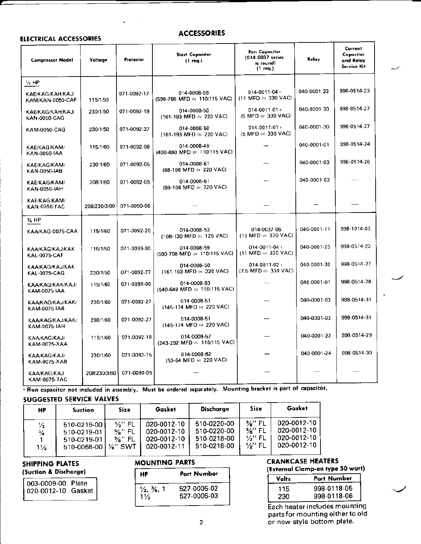## **ELECTRICAL ACCESSORIES**

#### **ACCESSORIES**

| <b>Compressor Model</b>                       | Voltage      | Protector   | <b>Start Capacitor</b><br>$(1 \text{ req.})$ | <b>Run Capacitor</b><br>(014-0037 series<br>is round)<br>$(1 \text{ req.})$ | Relay       | Current<br>Capacitor<br>and Relay<br>Service Kit |
|-----------------------------------------------|--------------|-------------|----------------------------------------------|-----------------------------------------------------------------------------|-------------|--------------------------------------------------|
| $\frac{1}{2}$ HP                              |              |             |                                              |                                                                             |             |                                                  |
| KAE/KAG/KAH/KAJ/<br>KAM/KAN-0050-CAF          | 115/1/50     | 071-0092-17 | 014-0008-59<br>(590-708 MFD @ 110/115 VAC)   | $014 - 0011 - 04 +$<br>(11 MFD @ 330 VAC)                                   | 040-0001-23 | 998-0514-23                                      |
| KAE/KAG/KAH/KAJ/<br>KAN-0050-CAG              | 230/1/50     | 071-0092-19 | 014-0008-50<br>(161-193 MFD (a 220 VAC)      | $014 - 0011 - 01 +$<br>(5 MFD (a 330 VAC)                                   | 040-0001-30 | 998-0514-27                                      |
| KAM-0050-CAG                                  | 230/1/50     | 071-0092-37 | 014-0008-50<br>(161-193 MFD @ 220 VAC)       | $014 - 0011 - 01 +$<br>(5 MFD @ 330 VAC)                                    | 040-0001-30 | 998-0514-27                                      |
| <b>KAE/KAG/KAM/</b><br>KAN-0050-IAA           | 115/1/60     | 071-0092-06 | 014-0008-49<br>(400-480 MFD (a 110/115 VAC)  |                                                                             | 040-0001-01 | 998-0514-24                                      |
| KAE/KAG/KAM/<br>KAN-0050-IAB                  | 230/1/60     | 071-0092-05 | 014-0008-61<br>(88-106 MFD @ 220 VAC)        |                                                                             | 040-0001-03 | 998-0514-26                                      |
| KAE/KAG/KAM/<br>KAN-0050-IAH                  | 208/1/60     | 071-0092-05 | 014-0008-61<br>(88-106 MFD @ 220 VAC)        |                                                                             | 040-0001-03 |                                                  |
| KAE/KAG/KAM/<br><b>KAN-0050-TAC</b>           | 208/230/3/60 | 071-0090-06 |                                              |                                                                             |             |                                                  |
| у, нр                                         |              |             |                                              |                                                                             |             |                                                  |
| KAA/KAG-0075-CAA                              | 115/1/60     | 071-0092-20 | 014-0008-53<br>(108-130 MFD @ 125 VAC)       | 014-0037-06<br>(15 MFD (n) 370 VAC)                                         | 040-0001-11 | 998-1014-03                                      |
| <b>KAA/KAG/KAJ/KAK</b><br><b>KAL-0075-CAF</b> | 115/1/50     | 071-0099-00 | 014-0008-59<br>(590-708 MFD @ 110/115 VAC)   | $014 - 0011 - 04 +$<br>(11 MFD or 330 VAC)                                  | 040-0001-23 | 998-0514-23                                      |
| <b>KAA/KAG/KAJ/KAK</b><br>KAL-0075-CAG        | 230/1/50     | 071-0092-27 | 014-0008-50<br>(161-193 MFD (n 220 VAC)      | $014 - 0011 - 02 +$<br>(7.5 MFD @ 330 VAC)                                  | 040-0001-30 | 998-0514-27                                      |
| <b>KAA/KAG/KAK/KAJ/</b><br>KAM-0075-IAA       | 115/1/60     | 071-0099-00 | 014-0008-63<br>(540-648 MFD (n 110/115 VAC)  |                                                                             | 040-0001-01 | 998-0514-28                                      |
| KAA/KAG/KAJ/KAK/<br>KAM-0075-IAB              | 230/1/60     | 071-0092-27 | 014-0008-51<br>(145-174 MFD or 220 VAC)      |                                                                             | 040-0001-03 | 998-0514-31                                      |
| <b>KAA/KAG/KAJ/KAK/</b><br>KAM-0075-IAH       | 208/1/60     | 071-0092-27 | 014-0008-51<br>(145-174 MFD @ 220 VAC)       |                                                                             | 040-0001-03 | 998-0514-31                                      |
| KAA/KAG/KAJ/<br>KAM-0075-XAA                  | 115/1/60     | 071-0092-10 | 014-0008-57<br>(243-292 MFD (a 110/115 VAC)  |                                                                             | 040-0001-22 | 998-0514-29                                      |
| <b>KAA/KAG/KAJ/</b><br>KAM-0075-XAB           | 230/1/60     | 071-0092-15 | 014-0008-62<br>(53-64 MFD (e) 220 VAC)       |                                                                             | 040-0001-24 | 998-0514-30                                      |
| <b>KAA/KAG/KAJ</b><br><b>KAM-0075-TAC</b>     | 208/230/3/60 | 071-0090-05 |                                              |                                                                             |             |                                                  |

+ Run capacitor not included in assembly. Must be ordered separately. Mounting bracket is part of capacitor. **SUGGESTED SERVICE VALVES** 

| HP                                               | <b>Suction</b>                                           | <b>Size</b>                                                        | Gasket                                                   | <b>Dischorge</b>                                         | Size                                                                    | Gasket                                                   |
|--------------------------------------------------|----------------------------------------------------------|--------------------------------------------------------------------|----------------------------------------------------------|----------------------------------------------------------|-------------------------------------------------------------------------|----------------------------------------------------------|
| $\frac{1}{2}$<br>$\frac{3}{4}$<br>$1\frac{1}{2}$ | 510-0219-00<br>510-0219-01<br>510-0219-01<br>510-0068-00 | 1⁄3" FL<br>$\frac{5}{8}$ " FL<br>$\frac{5}{8}$ " FL<br>$1\%$ " SWT | 020-0012-10<br>020-0012-10<br>020-0012-10<br>020-0012-11 | 510-0220-00<br>510-0220-00<br>510-0218-00<br>510-0218-00 | $\frac{1}{2}$ FL<br>$\frac{3}{8}$ " FL<br>1⁄2" FL<br>$\frac{1}{2}$ " FL | 020-0012-10<br>020-0012-10<br>020-0012-10<br>020-0012-10 |

## SHIPPING PLATES

#### (Suction & Discharge)

| 003-0009-00 Plate<br>020-0012-10 Gasket |
|-----------------------------------------|
|-----------------------------------------|

## **MOUNTING PARTS**

| HP                                                   | Part Number                |  |  |
|------------------------------------------------------|----------------------------|--|--|
| $\frac{1}{2}$ , $\frac{3}{4}$ , 1<br>1 $\frac{1}{2}$ | 527-0005-02<br>527-0005-03 |  |  |

## **CRANKCASE HEATERS** (External Clamp-on type 50 watt)

| Volts | Part Number |
|-------|-------------|
| 115   | 998-0118-05 |
| 230   | 998-0118-06 |

Each heater includes mounting parts for mounting either to old or new style bottom plate.